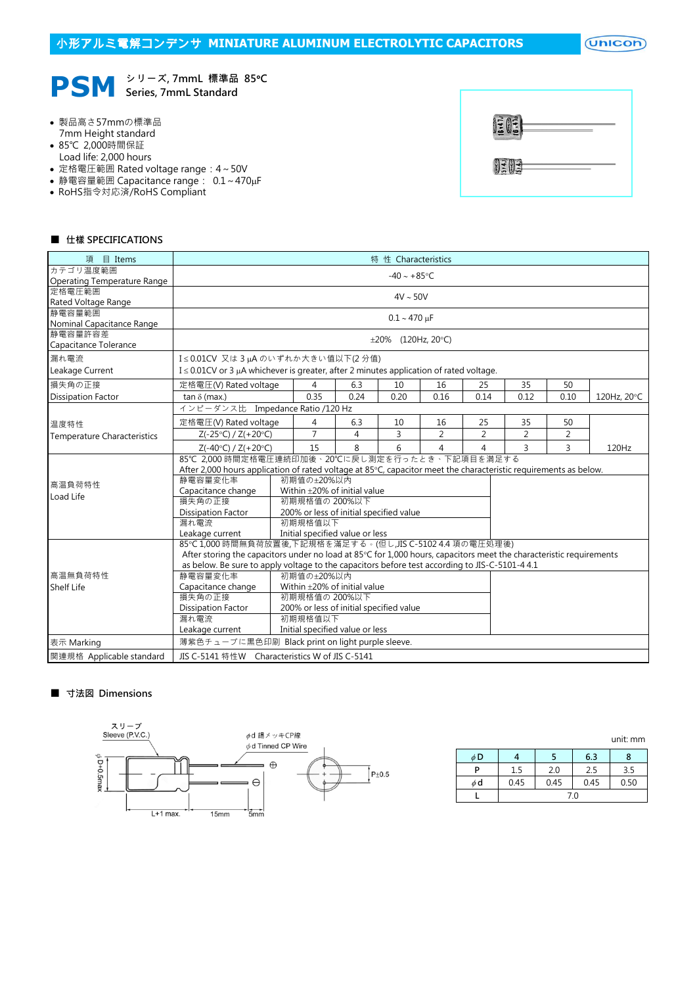$($ Unicon $)$ 



シリーズ, 7mmL 標準品 85℃

- 製品高さ57mmの標準品 7mm Height standard
- 85℃ 2,000時間保証
- Load life: 2,000 hours
- 定格電圧範囲 Rated voltage range:4~50V
- 静電容量範囲 Capacitance range: 0.1~470µF
- RoHS指令対応済/RoHS Compliant

| $\frac{1}{2}$ |  |
|---------------|--|
| <b>OF 05</b>  |  |

#### ■ 仕樣 SPECIFICATIONS

| 項 目 Items                           | 特 性 Characteristics                                                                                                 |                         |                                         |      |                          |                |                |                |                |             |
|-------------------------------------|---------------------------------------------------------------------------------------------------------------------|-------------------------|-----------------------------------------|------|--------------------------|----------------|----------------|----------------|----------------|-------------|
| カテゴリ温度範囲                            | $-40 \sim +85$ °C                                                                                                   |                         |                                         |      |                          |                |                |                |                |             |
| Operating Temperature Range         |                                                                                                                     |                         |                                         |      |                          |                |                |                |                |             |
| 定格電圧範囲                              | $4V \sim 50V$                                                                                                       |                         |                                         |      |                          |                |                |                |                |             |
| Rated Voltage Range                 |                                                                                                                     |                         |                                         |      |                          |                |                |                |                |             |
| 静電容量範囲<br>Nominal Capacitance Range |                                                                                                                     | $0.1 - 470 \,\mu F$     |                                         |      |                          |                |                |                |                |             |
| 静電容量許容差                             |                                                                                                                     |                         |                                         |      |                          |                |                |                |                |             |
| Capacitance Tolerance               |                                                                                                                     |                         |                                         |      | $\pm 20\%$ (120Hz, 20°C) |                |                |                |                |             |
| 漏れ電流                                | I≤0.01CV 又は3µAのいずれか大きい値以下(2分値)                                                                                      |                         |                                         |      |                          |                |                |                |                |             |
| Leakage Current                     | $I \leq 0.01$ CV or 3 µA whichever is greater, after 2 minutes application of rated voltage.                        |                         |                                         |      |                          |                |                |                |                |             |
| 損失角の正接                              | 定格電圧(V) Rated voltage                                                                                               |                         | 4                                       | 6.3  | 10                       | 16             | 25             | 35             | 50             |             |
| <b>Dissipation Factor</b>           | tan $\delta$ (max.)                                                                                                 |                         | 0.35                                    | 0.24 | 0.20                     | 0.16           | 0.14           | 0.12           | 0.10           | 120Hz, 20°C |
|                                     | インピーダンス比 Impedance Ratio /120 Hz                                                                                    |                         |                                         |      |                          |                |                |                |                |             |
| 温度特性                                | 定格電圧(V) Rated voltage                                                                                               |                         | 4                                       | 6.3  | 10                       | 16             | 25             | 35             | 50             |             |
| <b>Temperature Characteristics</b>  | $Z(-25°C) / Z(+20°C)$                                                                                               |                         | $\overline{7}$                          | 4    | 3                        | $\overline{2}$ | $\overline{2}$ | $\overline{2}$ | $\overline{2}$ |             |
|                                     | $Z(-40^{\circ}C) / Z(+20^{\circ}C)$                                                                                 |                         | 15                                      | 8    | 6                        | 4              | 4              | 3              | 3              | 120Hz       |
|                                     | 85℃ 2,000 時間定格電圧連続印加後、20℃に戻し測定を行ったとき、下記項目を満足する                                                                      |                         |                                         |      |                          |                |                |                |                |             |
|                                     | After 2,000 hours application of rated voltage at 85°C, capacitor meet the characteristic requirements as below.    |                         |                                         |      |                          |                |                |                |                |             |
| 高温負荷特性                              | 静電容量変化率                                                                                                             |                         | 初期值の±20%以内                              |      |                          |                |                |                |                |             |
| Load Life                           | Capacitance change<br>Within $\pm$ 20% of initial value                                                             |                         |                                         |      |                          |                |                |                |                |             |
|                                     | 損失角の正接<br>初期規格值の 200%以下                                                                                             |                         |                                         |      |                          |                |                |                |                |             |
|                                     | <b>Dissipation Factor</b>                                                                                           |                         | 200% or less of initial specified value |      |                          |                |                |                |                |             |
|                                     |                                                                                                                     | 漏れ電流<br>初期規格值以下         |                                         |      |                          |                |                |                |                |             |
|                                     | Leakage current<br>Initial specified value or less                                                                  |                         |                                         |      |                          |                |                |                |                |             |
|                                     | 85℃1,000時間無負荷放置後,下記規格を滿足する。(但し,JIS C-5102 4.4 項の電圧処理後)                                                              |                         |                                         |      |                          |                |                |                |                |             |
|                                     | After storing the capacitors under no load at 85°C for 1,000 hours, capacitors meet the characteristic requirements |                         |                                         |      |                          |                |                |                |                |             |
|                                     | as below. Be sure to apply voltage to the capacitors before test according to JIS-C-5101-4 4.1                      |                         |                                         |      |                          |                |                |                |                |             |
| 高温無負荷特性                             | 静電容量変化率<br>初期值の±20%以内                                                                                               |                         |                                         |      |                          |                |                |                |                |             |
| Shelf Life                          | Capacitance change<br>Within ±20% of initial value                                                                  |                         |                                         |      |                          |                |                |                |                |             |
|                                     |                                                                                                                     | 損失角の正接<br>初期規格值の 200%以下 |                                         |      |                          |                |                |                |                |             |
|                                     | <b>Dissipation Factor</b>                                                                                           |                         | 200% or less of initial specified value |      |                          |                |                |                |                |             |
|                                     | 漏れ電流                                                                                                                |                         | 初期規格值以下                                 |      |                          |                |                |                |                |             |
|                                     | Leakage current                                                                                                     |                         | Initial specified value or less         |      |                          |                |                |                |                |             |
| 表示 Marking                          | 薄紫色チューブに黒色印刷 Black print on light purple sleeve.                                                                    |                         |                                         |      |                          |                |                |                |                |             |
| 関連規格 Applicable standard            | JIS C-5141 特性W Characteristics W of JIS C-5141                                                                      |                         |                                         |      |                          |                |                |                |                |             |

#### ■ 寸法図 Dimensions



|    |      |      |      | unit. min |  |  |  |
|----|------|------|------|-----------|--|--|--|
| φD |      |      | 6.3  | x         |  |  |  |
| P  | 1.5  | 2.0  | 2.5  | 3.5       |  |  |  |
| φd | 0.45 | 0.45 | 0.45 | 0.50      |  |  |  |
|    | 7.0  |      |      |           |  |  |  |